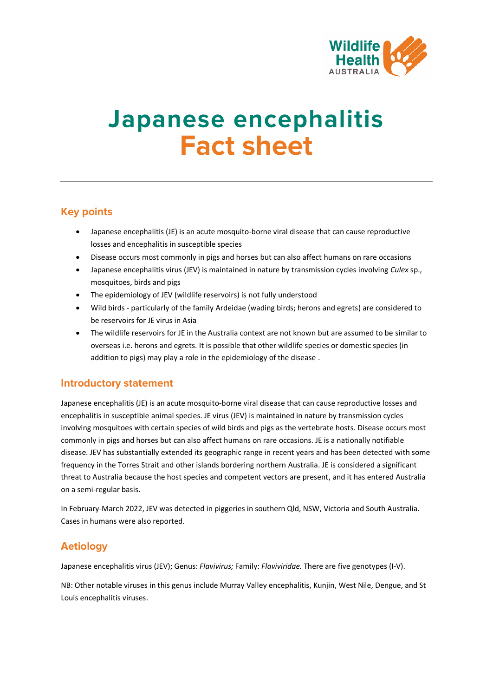

# **Japanese encephalitis Fact sheet**

# **Key points**

- Japanese encephalitis (JE) is an acute mosquito-borne viral disease that can cause reproductive losses and encephalitis in susceptible species
- Disease occurs most commonly in pigs and horses but can also affect humans on rare occasions
- Japanese encephalitis virus (JEV) is maintained in nature by transmission cycles involving *Culex* sp., mosquitoes, birds and pigs
- The epidemiology of JEV (wildlife reservoirs) is not fully understood
- Wild birds particularly of the family Ardeidae (wading birds; herons and egrets) are considered to be reservoirs for JE virus in Asia
- The wildlife reservoirs for JE in the Australia context are not known but are assumed to be similar to overseas i.e. herons and egrets. It is possible that other wildlife species or domestic species (in addition to pigs) may play a role in the epidemiology of the disease .

# **Introductory statement**

Japanese encephalitis (JE) is an acute mosquito-borne viral disease that can cause reproductive losses and encephalitis in susceptible animal species. JE virus (JEV) is maintained in nature by transmission cycles involving mosquitoes with certain species of wild birds and pigs as the vertebrate hosts. Disease occurs most commonly in pigs and horses but can also affect humans on rare occasions. JE is a nationally notifiable disease. JEV has substantially extended its geographic range in recent years and has been detected with some frequency in the Torres Strait and other islands bordering northern Australia. JE is considered a significant threat to Australia because the host species and competent vectors are present, and it has entered Australia on a semi-regular basis.

In February-March 2022, JEV was detected in piggeries in southern Qld, NSW, Victoria and South Australia. Cases in humans were also reported.

# **Aetiology**

Japanese encephalitis virus (JEV); Genus: *Flavivirus;* Family: *Flaviviridae.* There are five genotypes (I-V).

NB: Other notable viruses in this genus include Murray Valley encephalitis, Kunjin, West Nile, Dengue, and St Louis encephalitis viruses.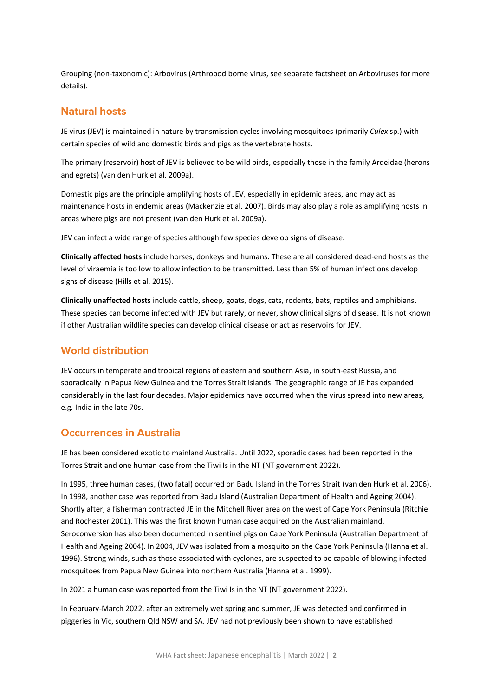Grouping (non-taxonomic): Arbovirus (Arthropod borne virus, see separate factsheet on Arboviruses for more details).

#### **Natural hosts**

JE virus (JEV) is maintained in nature by transmission cycles involving mosquitoes (primarily *Culex* sp.) with certain species of wild and domestic birds and pigs as the vertebrate hosts.

The primary (reservoir) host of JEV is believed to be wild birds, especially those in the family Ardeidae (herons and egrets) (van den Hurk et al. 2009a).

Domestic pigs are the principle amplifying hosts of JEV, especially in epidemic areas, and may act as maintenance hosts in endemic areas (Mackenzie et al. 2007). Birds may also play a role as amplifying hosts in areas where pigs are not present (van den Hurk et al. 2009a).

JEV can infect a wide range of species although few species develop signs of disease.

**Clinically affected hosts** include horses, donkeys and humans. These are all considered dead-end hosts as the level of viraemia is too low to allow infection to be transmitted. Less than 5% of human infections develop signs of disease (Hills et al. 2015).

**Clinically unaffected hosts** include cattle, sheep, goats, dogs, cats, rodents, bats, reptiles and amphibians. These species can become infected with JEV but rarely, or never, show clinical signs of disease. It is not known if other Australian wildlife species can develop clinical disease or act as reservoirs for JEV.

#### **World distribution**

JEV occurs in temperate and tropical regions of eastern and southern Asia, in south-east Russia, and sporadically in Papua New Guinea and the Torres Strait islands. The geographic range of JE has expanded considerably in the last four decades. Major epidemics have occurred when the virus spread into new areas, e.g*.* India in the late 70s.

#### **Occurrences in Australia**

JE has been considered exotic to mainland Australia. Until 2022, sporadic cases had been reported in the Torres Strait and one human case from the Tiwi Is in the NT (NT government 2022).

In 1995, three human cases, (two fatal) occurred on Badu Island in the Torres Strait (van den Hurk et al. 2006). In 1998, another case was reported from Badu Island (Australian Department of Health and Ageing 2004). Shortly after, a fisherman contracted JE in the Mitchell River area on the west of Cape York Peninsula (Ritchie and Rochester 2001). This was the first known human case acquired on the Australian mainland. Seroconversion has also been documented in sentinel pigs on Cape York Peninsula (Australian Department of Health and Ageing 2004). In 2004, JEV was isolated from a mosquito on the Cape York Peninsula (Hanna et al. 1996). Strong winds, such as those associated with cyclones, are suspected to be capable of blowing infected mosquitoes from Papua New Guinea into northern Australia (Hanna et al. 1999).

In 2021 a human case was reported from the Tiwi Is in the NT (NT government 2022).

In February-March 2022, after an extremely wet spring and summer, JE was detected and confirmed in piggeries in Vic, southern Qld NSW and SA. JEV had not previously been shown to have established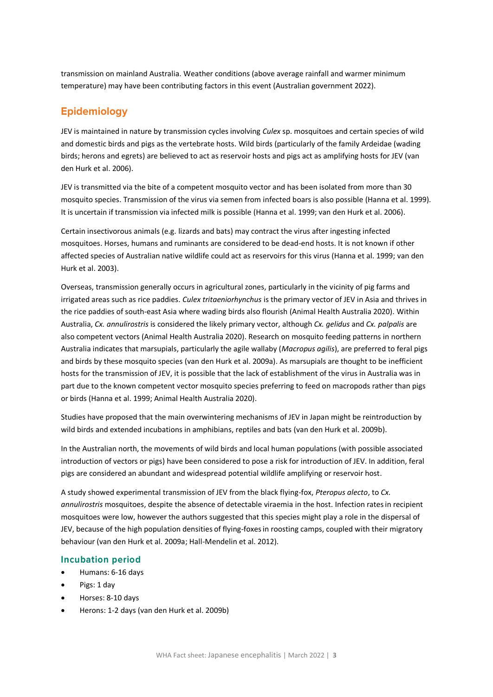transmission on mainland Australia. Weather conditions (above average rainfall and warmer minimum temperature) may have been contributing factors in this event (Australian government 2022).

# **Epidemiology**

JEV is maintained in nature by transmission cycles involving *Culex* sp. mosquitoes and certain species of wild and domestic birds and pigs as the vertebrate hosts. Wild birds (particularly of the family Ardeidae (wading birds; herons and egrets) are believed to act as reservoir hosts and pigs act as amplifying hosts for JEV (van den Hurk et al. 2006).

JEV is transmitted via the bite of a competent mosquito vector and has been isolated from more than 30 mosquito species. Transmission of the virus via semen from infected boars is also possible (Hanna et al. 1999). It is uncertain if transmission via infected milk is possible (Hanna et al. 1999; van den Hurk et al. 2006).

Certain insectivorous animals (e.g. lizards and bats) may contract the virus after ingesting infected mosquitoes. Horses, humans and ruminants are considered to be dead-end hosts. It is not known if other affected species of Australian native wildlife could act as reservoirs for this virus (Hanna et al. 1999; van den Hurk et al. 2003).

Overseas, transmission generally occurs in agricultural zones, particularly in the vicinity of pig farms and irrigated areas such as rice paddies. *Culex tritaeniorhynchus* is the primary vector of JEV in Asia and thrives in the rice paddies of south-east Asia where wading birds also flourish (Animal Health Australia 2020). Within Australia, *Cx. annulirostris* is considered the likely primary vector, although *Cx. gelidus* and *Cx. palpalis* are also competent vectors (Animal Health Australia 2020). Research on mosquito feeding patterns in northern Australia indicates that marsupials, particularly the agile wallaby (*Macropus agilis*), are preferred to feral pigs and birds by these mosquito species (van den Hurk et al. 2009a). As marsupials are thought to be inefficient hosts for the transmission of JEV, it is possible that the lack of establishment of the virus in Australia was in part due to the known competent vector mosquito species preferring to feed on macropods rather than pigs or birds (Hanna et al. 1999; Animal Health Australia 2020).

Studies have proposed that the main overwintering mechanisms of JEV in Japan might be reintroduction by wild birds and extended incubations in amphibians, reptiles and bats (van den Hurk et al. 2009b).

In the Australian north, the movements of wild birds and local human populations (with possible associated introduction of vectors or pigs) have been considered to pose a risk for introduction of JEV. In addition, feral pigs are considered an abundant and widespread potential wildlife amplifying or reservoir host.

A study showed experimental transmission of JEV from the black flying-fox, *Pteropus alecto*, to *Cx. annulirostris* mosquitoes, despite the absence of detectable viraemia in the host. Infection ratesin recipient mosquitoes were low, however the authors suggested that this species might play a role in the dispersal of JEV, because of the high population densities of flying-foxesin roosting camps, coupled with their migratory behaviour (van den Hurk et al. 2009a; Hall-Mendelin et al. 2012).

#### **Incubation period**

- Humans: 6-16 days
- Pigs: 1 day
- Horses: 8-10 days
- Herons: 1-2 days (van den Hurk et al. 2009b)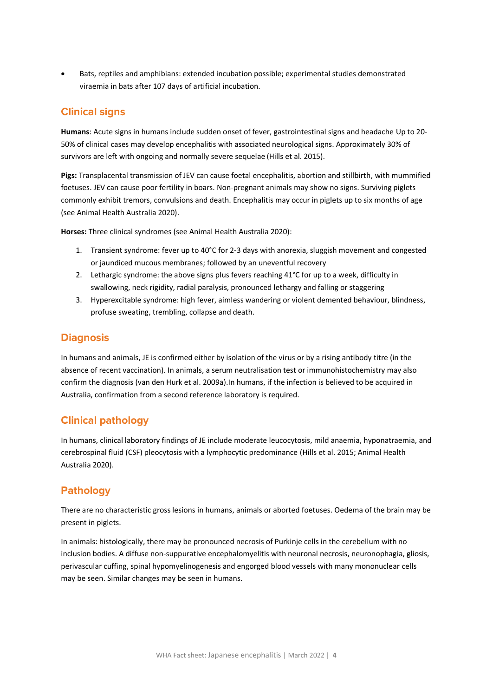• Bats, reptiles and amphibians: extended incubation possible; experimental studies demonstrated viraemia in bats after 107 days of artificial incubation.

# **Clinical signs**

**Humans**: Acute signs in humans include sudden onset of fever, gastrointestinal signs and headache Up to 20- 50% of clinical cases may develop encephalitis with associated neurological signs. Approximately 30% of survivors are left with ongoing and normally severe sequelae (Hills et al. 2015).

**Pigs:** Transplacental transmission of JEV can cause foetal encephalitis, abortion and stillbirth, with mummified foetuses. JEV can cause poor fertility in boars. Non-pregnant animals may show no signs. Surviving piglets commonly exhibit tremors, convulsions and death. Encephalitis may occur in piglets up to six months of age (see Animal Health Australia 2020).

**Horses:** Three clinical syndromes (see Animal Health Australia 2020):

- 1. Transient syndrome: fever up to 40°C for 2-3 days with anorexia, sluggish movement and congested or jaundiced mucous membranes; followed by an uneventful recovery
- 2. Lethargic syndrome: the above signs plus fevers reaching 41°C for up to a week, difficulty in swallowing, neck rigidity, radial paralysis, pronounced lethargy and falling or staggering
- 3. Hyperexcitable syndrome: high fever, aimless wandering or violent demented behaviour, blindness, profuse sweating, trembling, collapse and death.

## **Diagnosis**

In humans and animals, JE is confirmed either by isolation of the virus or by a rising antibody titre (in the absence of recent vaccination). In animals, a serum neutralisation test or immunohistochemistry may also confirm the diagnosis (van den Hurk et al. 2009a).In humans, if the infection is believed to be acquired in Australia, confirmation from a second reference laboratory is required.

# **Clinical pathology**

In humans, clinical laboratory findings of JE include moderate leucocytosis, mild anaemia, hyponatraemia, and cerebrospinal fluid (CSF) pleocytosis with a lymphocytic predominance (Hills et al. 2015; Animal Health Australia 2020).

# **Pathology**

There are no characteristic gross lesions in humans, animals or aborted foetuses. Oedema of the brain may be present in piglets.

In animals: histologically, there may be pronounced necrosis of Purkinje cells in the cerebellum with no inclusion bodies. A diffuse non-suppurative encephalomyelitis with neuronal necrosis, neuronophagia, gliosis, perivascular cuffing, spinal hypomyelinogenesis and engorged blood vessels with many mononuclear cells may be seen. Similar changes may be seen in humans.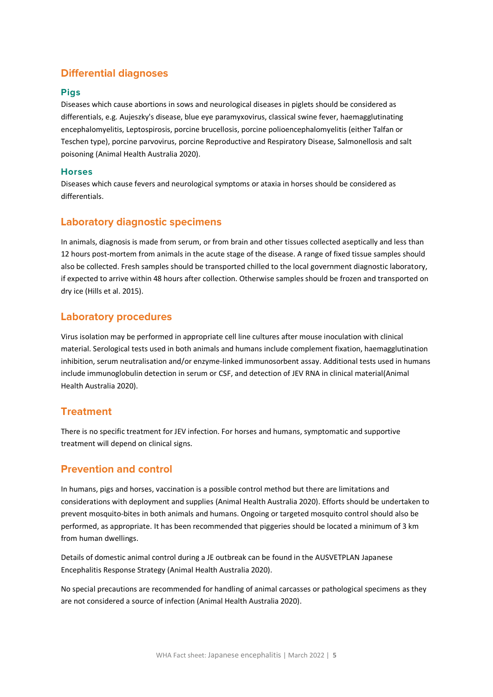# **Differential diagnoses**

#### **Pigs**

Diseases which cause abortions in sows and neurological diseases in piglets should be considered as differentials, e.g*.* Aujeszky's disease, blue eye paramyxovirus, classical swine fever, haemagglutinating encephalomyelitis, Leptospirosis, porcine brucellosis, porcine polioencephalomyelitis (either Talfan or Teschen type), porcine parvovirus, porcine Reproductive and Respiratory Disease, Salmonellosis and salt poisoning (Animal Health Australia 2020).

#### **Horses**

Diseases which cause fevers and neurological symptoms or ataxia in horses should be considered as differentials.

## **Laboratory diagnostic specimens**

In animals, diagnosis is made from serum, or from brain and other tissues collected aseptically and less than 12 hours post-mortem from animals in the acute stage of the disease. A range of fixed tissue samples should also be collected. Fresh samples should be transported chilled to the local government diagnostic laboratory, if expected to arrive within 48 hours after collection. Otherwise samples should be frozen and transported on dry ice (Hills et al. 2015).

## **Laboratory procedures**

Virus isolation may be performed in appropriate cell line cultures after mouse inoculation with clinical material. Serological tests used in both animals and humans include complement fixation, haemagglutination inhibition, serum neutralisation and/or enzyme-linked immunosorbent assay. Additional tests used in humans include immunoglobulin detection in serum or CSF, and detection of JEV RNA in clinical material(Animal Health Australia 2020).

#### **Treatment**

There is no specific treatment for JEV infection. For horses and humans, symptomatic and supportive treatment will depend on clinical signs.

# **Prevention and control**

In humans, pigs and horses, vaccination is a possible control method but there are limitations and considerations with deployment and supplies (Animal Health Australia 2020). Efforts should be undertaken to prevent mosquito-bites in both animals and humans. Ongoing or targeted mosquito control should also be performed, as appropriate. It has been recommended that piggeries should be located a minimum of 3 km from human dwellings.

Details of domestic animal control during a JE outbreak can be found in the AUSVETPLAN Japanese Encephalitis Response Strategy (Animal Health Australia 2020).

No special precautions are recommended for handling of animal carcasses or pathological specimens as they are not considered a source of infection (Animal Health Australia 2020).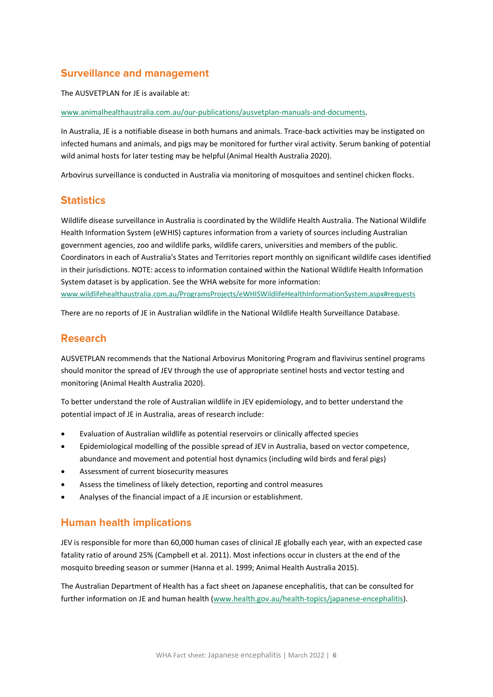# **Surveillance and management**

The AUSVETPLAN for JE is available at:

[www.animalhealthaustralia.com.au/our-publications/ausvetplan-manuals-and-documents.](http://www.animalhealthaustralia.com.au/our-publications/ausvetplan-manuals-and-documents)

In Australia, JE is a notifiable disease in both humans and animals. Trace-back activities may be instigated on infected humans and animals, and pigs may be monitored for further viral activity. Serum banking of potential wild animal hosts for later testing may be helpful (Animal Health Australia 2020).

Arbovirus surveillance is conducted in Australia via monitoring of mosquitoes and sentinel chicken flocks.

## **Statistics**

Wildlife disease surveillance in Australia is coordinated by the Wildlife Health Australia. The National Wildlife Health Information System (eWHIS) captures information from a variety of sources including Australian government agencies, zoo and wildlife parks, wildlife carers, universities and members of the public. Coordinators in each of Australia's States and Territories report monthly on significant wildlife cases identified in their jurisdictions. NOTE: access to information contained within the National Wildlife Health Information System dataset is by application. See the WHA website for more information: www.wildlifehealthaustralia.com.au/ProgramsProjects/eWHISWildlifeHealthInformationSystem.aspx#requests

There are no reports of JE in Australian wildlife in the National Wildlife Health Surveillance Database.

#### **Research**

AUSVETPLAN recommends that the National Arbovirus Monitoring Program and flavivirus sentinel programs should monitor the spread of JEV through the use of appropriate sentinel hosts and vector testing and monitoring (Animal Health Australia 2020).

To better understand the role of Australian wildlife in JEV epidemiology, and to better understand the potential impact of JE in Australia, areas of research include:

- Evaluation of Australian wildlife as potential reservoirs or clinically affected species
- Epidemiological modelling of the possible spread of JEV in Australia, based on vector competence, abundance and movement and potential host dynamics (including wild birds and feral pigs)
- Assessment of current biosecurity measures
- Assess the timeliness of likely detection, reporting and control measures
- Analyses of the financial impact of a JE incursion or establishment.

# **Human health implications**

JEV is responsible for more than 60,000 human cases of clinical JE globally each year, with an expected case fatality ratio of around 25% (Campbell et al. 2011). Most infections occur in clusters at the end of the mosquito breeding season or summer (Hanna et al. 1999; Animal Health Australia 2015).

The Australian Department of Health has a fact sheet on Japanese encephalitis, that can be consulted for further information on JE and human health [\(www.health.gov.au/health-topics/japanese-encephalitis\)](http://www.health.gov.au/health-topics/japanese-encephalitis).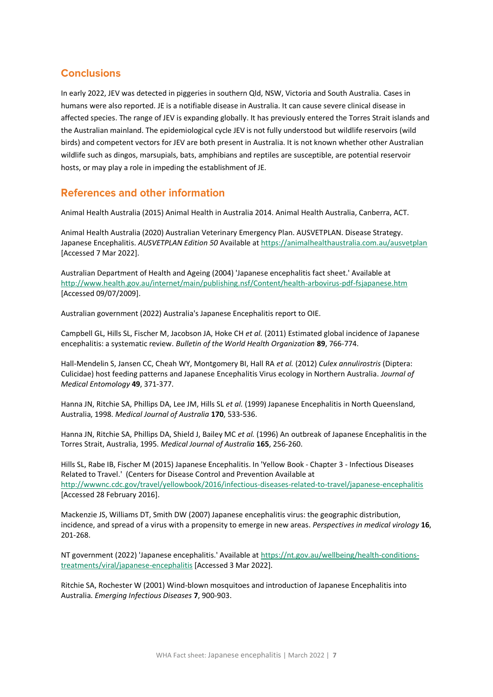# **Conclusions**

In early 2022, JEV was detected in piggeries in southern Qld, NSW, Victoria and South Australia. Cases in humans were also reported. JE is a notifiable disease in Australia. It can cause severe clinical disease in affected species. The range of JEV is expanding globally. It has previously entered the Torres Strait islands and the Australian mainland. The epidemiological cycle JEV is not fully understood but wildlife reservoirs (wild birds) and competent vectors for JEV are both present in Australia. It is not known whether other Australian wildlife such as dingos, marsupials, bats, amphibians and reptiles are susceptible, are potential reservoir hosts, or may play a role in impeding the establishment of JE.

#### **References and other information**

Animal Health Australia (2015) Animal Health in Australia 2014. Animal Health Australia, Canberra, ACT.

Animal Health Australia (2020) Australian Veterinary Emergency Plan. AUSVETPLAN. Disease Strategy. Japanese Encephalitis. *AUSVETPLAN Edition 50* Available a[t https://animalhealthaustralia.com.au/ausvetplan](https://animalhealthaustralia.com.au/ausvetplan) [Accessed 7 Mar 2022].

Australian Department of Health and Ageing (2004) 'Japanese encephalitis fact sheet.' Available at <http://www.health.gov.au/internet/main/publishing.nsf/Content/health-arbovirus-pdf-fsjapanese.htm> [Accessed 09/07/2009].

Australian government (2022) Australia's Japanese Encephalitis report to OIE.

Campbell GL, Hills SL, Fischer M, Jacobson JA, Hoke CH *et al.* (2011) Estimated global incidence of Japanese encephalitis: a systematic review. *Bulletin of the World Health Organization* **89**, 766-774.

Hall-Mendelin S, Jansen CC, Cheah WY, Montgomery BI, Hall RA *et al.* (2012) *Culex annulirostris* (Diptera: Culicidae) host feeding patterns and Japanese Encephalitis Virus ecology in Northern Australia. *Journal of Medical Entomology* **49**, 371-377.

Hanna JN, Ritchie SA, Phillips DA, Lee JM, Hills SL *et al.* (1999) Japanese Encephalitis in North Queensland, Australia, 1998. *Medical Journal of Australia* **170**, 533-536.

Hanna JN, Ritchie SA, Phillips DA, Shield J, Bailey MC *et al.* (1996) An outbreak of Japanese Encephalitis in the Torres Strait, Australia, 1995. *Medical Journal of Australia* **165**, 256-260.

Hills SL, Rabe IB, Fischer M (2015) Japanese Encephalitis. In 'Yellow Book - Chapter 3 - Infectious Diseases Related to Travel.' (Centers for Disease Control and Prevention Available at <http://wwwnc.cdc.gov/travel/yellowbook/2016/infectious-diseases-related-to-travel/japanese-encephalitis> [Accessed 28 February 2016].

Mackenzie JS, Williams DT, Smith DW (2007) Japanese encephalitis virus: the geographic distribution, incidence, and spread of a virus with a propensity to emerge in new areas. *Perspectives in medical virology* **16**, 201-268.

NT government (2022) 'Japanese encephalitis.' Available at [https://nt.gov.au/wellbeing/health-conditions](https://nt.gov.au/wellbeing/health-conditions-treatments/viral/japanese-encephalitis)[treatments/viral/japanese-encephalitis](https://nt.gov.au/wellbeing/health-conditions-treatments/viral/japanese-encephalitis) [Accessed 3 Mar 2022].

Ritchie SA, Rochester W (2001) Wind-blown mosquitoes and introduction of Japanese Encephalitis into Australia. *Emerging Infectious Diseases* **7**, 900-903.